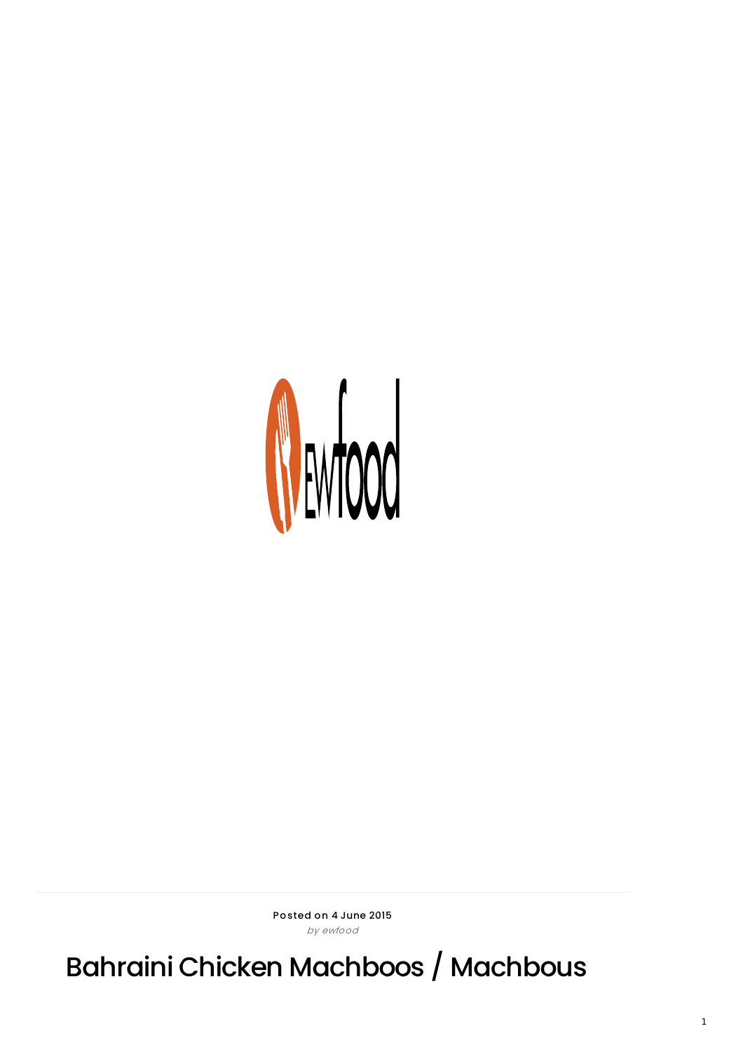

Posted on 4 June 2015 by ewfood

Bahraini Chicken Machboos / Machbous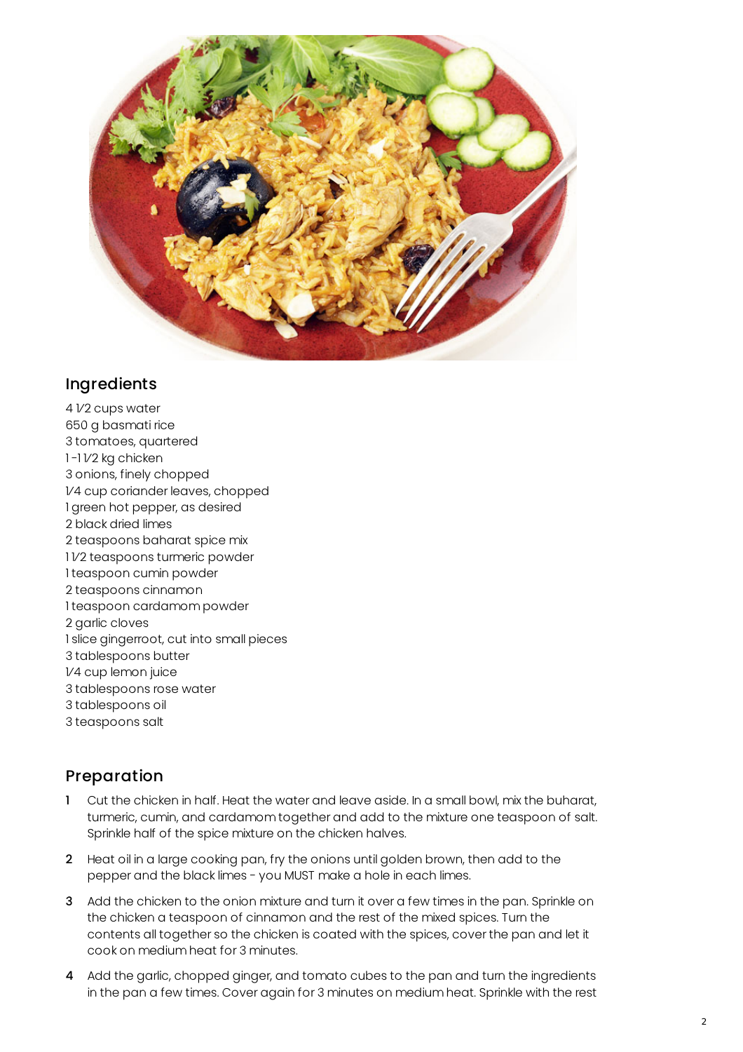

## Ingredients

 1⁄2 cups water g basmati rice tomatoes, quartered 1-1*V2* kg chicken onions, finely chopped 1⁄4 cup coriander leaves, chopped green hot pepper, as desired black dried limes teaspoons baharat spice mix 1⁄2 teaspoons turmeric powder teaspoon cumin powder teaspoons cinnamon teaspoon cardamom powder garlic cloves slice gingerroot, cut into small pieces tablespoons butter 1⁄4 cup lemon juice tablespoons rose water tablespoons oil teaspoons salt

## Preparation

- 1 Cut the chicken in half. Heat the water and leave aside. In a small bowl, mix the buharat, turmeric, cumin, and cardamom together and add to the mixture one teaspoon of salt. Sprinkle half of the spice mixture on the chicken halves.
- 2 Heat oil in a large cooking pan, fry the onions until golden brown, then add to the pepper and the black limes - you MUST make a hole in each limes.
- 3 Add the chicken to the onion mixture and turn it over a few times in the pan. Sprinkle on the chicken a teaspoon of cinnamon and the rest of the mixed spices. Turn the contents all together so the chicken is coated with the spices, cover the pan and let it cook on medium heat for 3 minutes.
- 4 Add the garlic, chopped ginger, and tomato cubes to the pan and turn the ingredients in the pan a few times. Cover again for 3 minutes on medium heat. Sprinkle with the rest